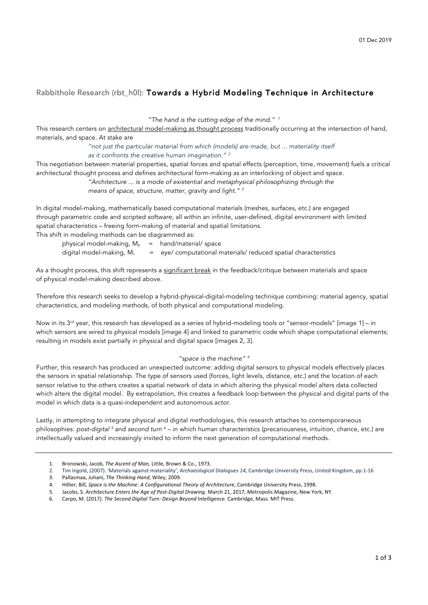## Rabbithole Research (rbt\_h0l): Towards a Hybrid Modeling Technique in Architecture

*"The hand is the cutting edge of the mind." <sup>1</sup>*

This research centers on architectural model-making as thought process traditionally occurring at the intersection of hand, materials, and space. At stake are

> *"not just the particular material from which (models) are made, but ... materiality itself as it confronts the creative human imagination." <sup>2</sup>*

This negotiation between material properties, spatial forces and spatial effects (perception, time, movement) fuels a critical architectural thought process and defines architectural form-making as an interlocking of object and space.

*"Architecture ... is a mode of existential and metaphysical philosophizing through the* 

*means of space, structure, matter, gravity and light." <sup>3</sup>*

In digital model-making, mathematically based computational materials (meshes, surfaces, etc.) are engaged through parametric code and scripted software; all within an infinite, user-defined, digital environment with limited spatial characteristics – freeing form-making of material and spatial limitations.

This shift in modeling methods can be diagrammed as:

| physical model-making, $M_p$ = hand/material/ space |                                                                 |
|-----------------------------------------------------|-----------------------------------------------------------------|
| digital model-making, M.                            | = eye/ computational materials/ reduced spatial characteristics |

As a thought process, this shift represents a significant break in the feedback/critique between materials and space of physical model-making described above.

Therefore this research seeks to develop a hybrid-physical-digital-modeling technique combining: material agency, spatial characteristics, and modeling methods, of both physical and computational modeling.

Now in its  $3^{rd}$  year, this research has developed as a series of hybrid-modeling tools or "sensor-models" [image 1] – in which sensors are wired to physical models [image 4] and linked to parametric code which shape computational elements; resulting in models exist partially in physical and digital space [images 2, 3].

## *"space is the machine" <sup>4</sup>*

Further, this research has produced an unexpected outcome: adding digital sensors to physical models effectively places the sensors in spatial relationship. The type of sensors used (forces, light levels, distance, etc.) and the location of each sensor relative to the others creates a spatial network of data in which altering the physical model alters data collected which alters the digital model. By extrapolation, this creates a feedback loop between the physical and digital parts of the model in which data is a quasi-independent and autonomous actor.

Lastly, in attempting to integrate physical and digital methodologies, this research attaches to contemporaneous philosophies: *post-digital <sup>5</sup> and second turn <sup>6</sup> – in which human characteristics (precariousness, intuition, chance, etc.) are* intellectually valued and increasingly invited to inform the next generation of computational methods.

<sup>1.</sup> Bronowski, Jacob, The Ascent of Man, Little, Brown & Co., 1973.

<sup>2.</sup> Tim Ingold, (2007). 'Materials against materiality', Archaeological Dialogues 14, Cambridge University Press, United Kingdom, pp.1-16

<sup>3.</sup> Pallasmaa, Juhani, *The Thinking Hand*, Wiley, 2009.

<sup>4.</sup> Hillier, Bill, Space is the Machine: A Configurational Theory of Architecture, Cambridge University Press, 1998.

<sup>5.</sup> Jacobs, S. Architecture Enters the Age of Post-Digital Drawing. March 21, 2017, Metropolis Magazine, New York, NY.

<sup>6.</sup> Carpo, M. (2017). The Second Digital Turn: Design Beyond Intelligence. Cambridge, Mass. MIT Press.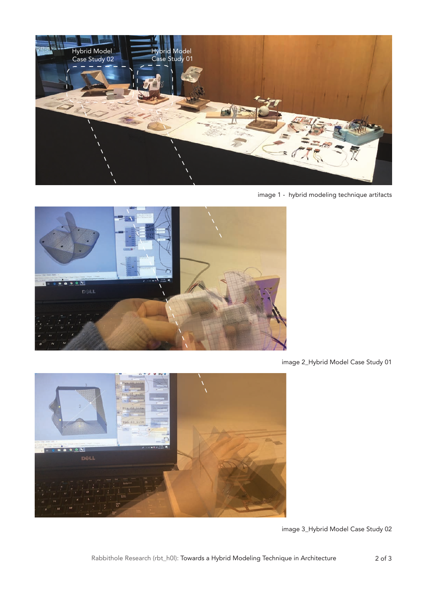

image 1 - hybrid modeling technique artifacts



image 2\_Hybrid Model Case Study 01



image 3\_Hybrid Model Case Study 02